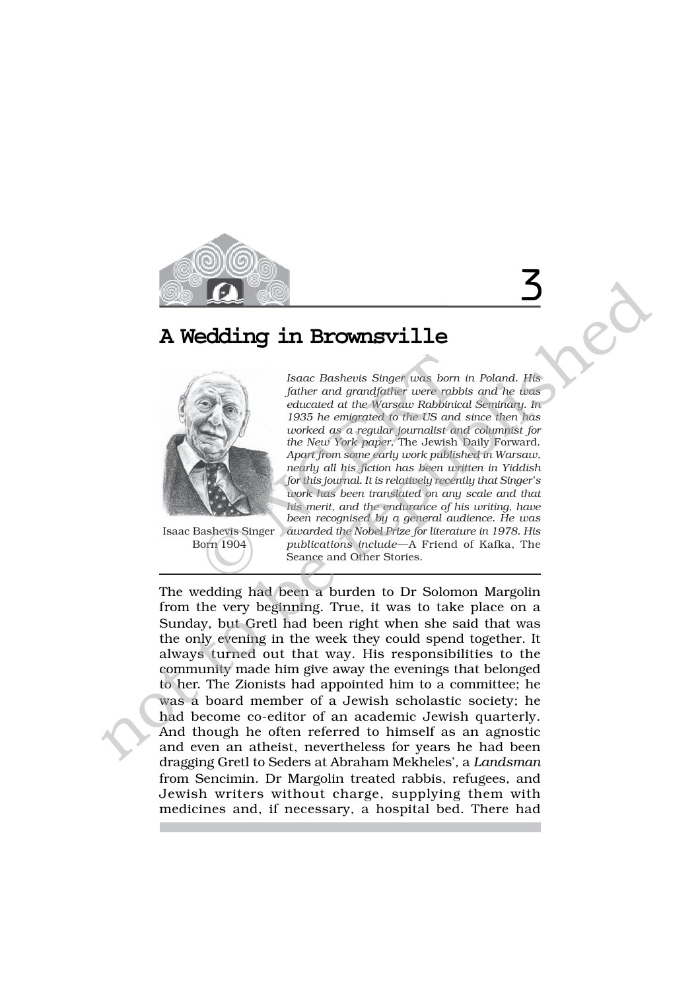

3

# **A Wedding in Brownsville**



Isaac Bashevis Singer Born 1904

*Isaac Bashevis Singer was born in Poland. His father and grandfather were rabbis and he was educated at the Warsaw Rabbinical Seminary. In 1935 he emigrated to the US and since then has worked as a regular journalist and columnist for the New York paper,* The Jewish Daily Forward*. Apart from some early work published in Warsaw, nearly all his fiction has been written in Yiddish for this journal. It is relatively recently that Singer's work has been translated on any scale and that his merit, and the endurance of his writing, have been recognised by a general audience. He was awarded the Nobel Prize for literature in 1978. His publications include—*A Friend of Kafka, The Seance and Other Stories. Isaac Bashevis Singer was born<br>
father and grandfather were rable<br>
educated at the Warsaw Rabbinic<br>
1935 he emigrated to the US and<br>
worked as a regular journalist are<br>
the New York paper, The Jewish<br>
Apart from some early

The wedding had been a burden to Dr Solomon Margolin from the very beginning. True, it was to take place on a Sunday, but Gretl had been right when she said that was the only evening in the week they could spend together. It always turned out that way. His responsibilities to the community made him give away the evenings that belonged to her. The Zionists had appointed him to a committee; he was a board member of a Jewish scholastic society; he had become co-editor of an academic Jewish quarterly. And though he often referred to himself as an agnostic and even an atheist, nevertheless for years he had been dragging Gretl to Seders at Abraham Mekheles', a *Landsman* from Sencimin. Dr Margolin treated rabbis, refugees, and Jewish writers without charge, supplying them with medicines and, if necessary, a hospital bed. There had **A Wedding in Brownsville**<br> **Example 1888**<br> *Manche Bashenis Shapet uses hom in Poland. Historical settlement of and gradient were replots and be to settlement and the variant pointing in the sole of the congrated of the*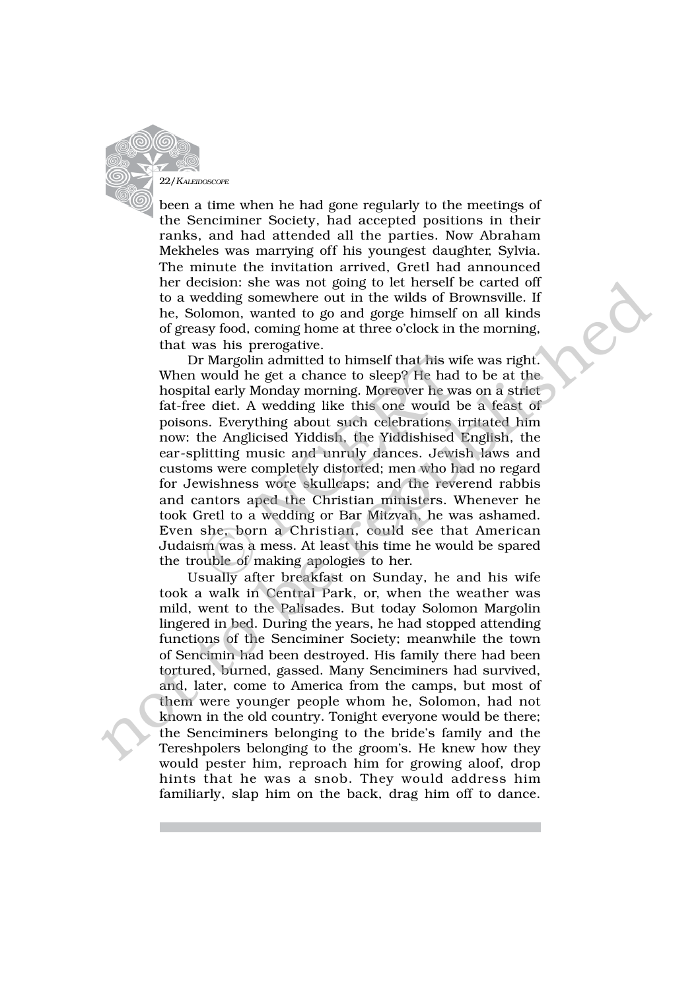

been a time when he had gone regularly to the meetings of the Senciminer Society, had accepted positions in their ranks, and had attended all the parties. Now Abraham Mekheles was marrying off his youngest daughter, Sylvia. The minute the invitation arrived, Gretl had announced her decision: she was not going to let herself be carted off to a wedding somewhere out in the wilds of Brownsville. If he, Solomon, wanted to go and gorge himself on all kinds of greasy food, coming home at three o'clock in the morning, that was his prerogative.

Dr Margolin admitted to himself that his wife was right. When would he get a chance to sleep? He had to be at the hospital early Monday morning. Moreover he was on a strict fat-free diet. A wedding like this one would be a feast of poisons. Everything about such celebrations irritated him now: the Anglicised Yiddish, the Yiddishised English, the ear-splitting music and unruly dances. Jewish laws and customs were completely distorted; men who had no regard for Jewishness wore skullcaps; and the reverend rabbis and cantors aped the Christian ministers. Whenever he took Gretl to a wedding or Bar Mitzvah, he was ashamed. Even she, born a Christian, could see that American Judaism was a mess. At least this time he would be spared the trouble of making apologies to her. r Margolin admitted to himself that his wi<br>would he get a chance to sleep? He had<br>al early Monday morning. Moreover he was<br>ee diet. A wedding like this one would b<br>ns. Everything about such celebrations i<br>the Anglicised Yi her decision: she was not going to let herself be carted of<br>to a wedding somewhere out in the wilds of Brownsville. If<br>he, Solomon, wanted to go and gorge himself on all kinds<br>of greasy food, coming home at three c'clock

Usually after breakfast on Sunday, he and his wife took a walk in Central Park, or, when the weather was mild, went to the Palisades. But today Solomon Margolin lingered in bed. During the years, he had stopped attending functions of the Senciminer Society; meanwhile the town of Sencimin had been destroyed. His family there had been tortured, burned, gassed. Many Senciminers had survived, and, later, come to America from the camps, but most of them were younger people whom he, Solomon, had not known in the old country. Tonight everyone would be there; the Senciminers belonging to the bride's family and the Tereshpolers belonging to the groom's. He knew how they would pester him, reproach him for growing aloof, drop hints that he was a snob. They would address him familiarly, slap him on the back, drag him off to dance.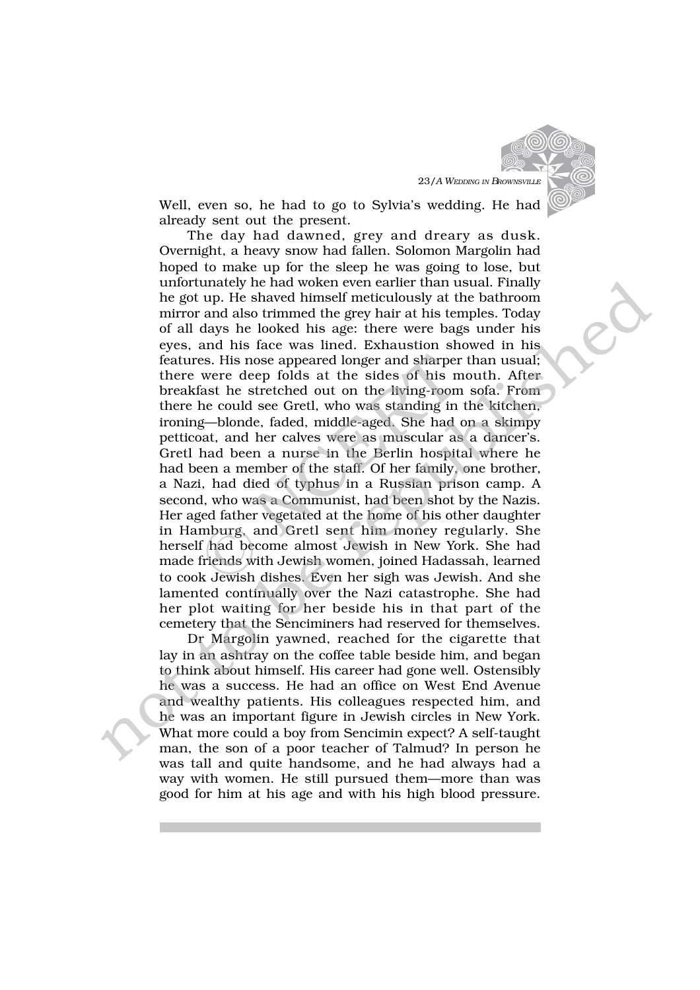23*/A WEDDING IN BROWNSVILLE*

Well, even so, he had to go to Sylvia's wedding. He had already sent out the present.

The day had dawned, grey and dreary as dusk. Overnight, a heavy snow had fallen. Solomon Margolin had hoped to make up for the sleep he was going to lose, but unfortunately he had woken even earlier than usual. Finally he got up. He shaved himself meticulously at the bathroom mirror and also trimmed the grey hair at his temples. Today of all days he looked his age: there were bags under his eyes, and his face was lined. Exhaustion showed in his features. His nose appeared longer and sharper than usual; there were deep folds at the sides of his mouth. After breakfast he stretched out on the living-room sofa. From there he could see Gretl, who was standing in the kitchen, ironing—blonde, faded, middle-aged. She had on a skimpy petticoat, and her calves were as muscular as a dancer's. Gretl had been a nurse in the Berlin hospital where he had been a member of the staff. Of her family, one brother, a Nazi, had died of typhus in a Russian prison camp. A second, who was a Communist, had been shot by the Nazis. Her aged father vegetated at the home of his other daughter in Hamburg, and Gretl sent him money regularly. She herself had become almost Jewish in New York. She had made friends with Jewish women, joined Hadassah, learned to cook Jewish dishes. Even her sigh was Jewish. And she lamented continually over the Nazi catastrophe. She had her plot waiting for her beside his in that part of the cemetery that the Senciminers had reserved for themselves. es. His nose appeared longer and sharper<br>were deep folds at the sides of his n<br>fast he stretched out on the living-room<br>he could see Gretl, who was standing in<br>g—blonde, faded, middle-aged. She had<br>pat, and her calves were unfortunately he had woken even earlier than usual. Finally the pair of the get up. He shawed himself metriculously at the bathroom mirror and also trimmed the grep hare at his temples. Today of all days he looked his age

Dr Margolin yawned, reached for the cigarette that lay in an ashtray on the coffee table beside him, and began to think about himself. His career had gone well. Ostensibly he was a success. He had an office on West End Avenue and wealthy patients. His colleagues respected him, and he was an important figure in Jewish circles in New York. What more could a boy from Sencimin expect? A self-taught man, the son of a poor teacher of Talmud? In person he was tall and quite handsome, and he had always had a way with women. He still pursued them—more than was good for him at his age and with his high blood pressure.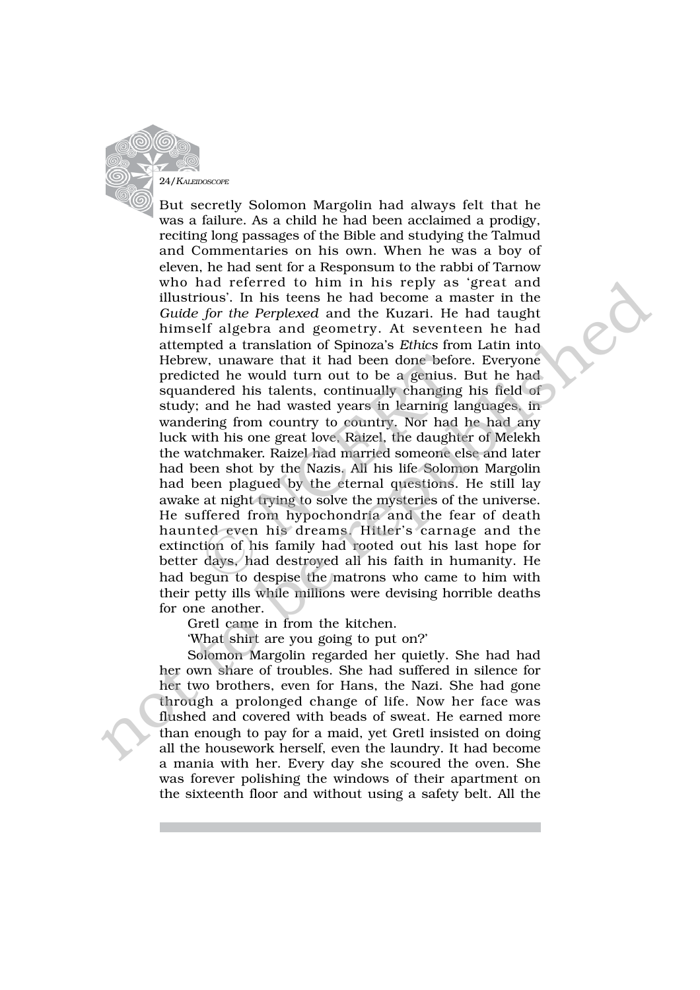

But secretly Solomon Margolin had always felt that he was a failure. As a child he had been acclaimed a prodigy, reciting long passages of the Bible and studying the Talmud and Commentaries on his own. When he was a boy of eleven, he had sent for a Responsum to the rabbi of Tarnow who had referred to him in his reply as 'great and illustrious'. In his teens he had become a master in the *Guide for the Perplexed* and the Kuzari. He had taught himself algebra and geometry. At seventeen he had attempted a translation of Spinoza's *Ethics* from Latin into Hebrew, unaware that it had been done before. Everyone predicted he would turn out to be a genius. But he had squandered his talents, continually changing his field of study; and he had wasted years in learning languages, in wandering from country to country. Nor had he had any luck with his one great love, Raizel, the daughter of Melekh the watchmaker. Raizel had married someone else and later had been shot by the Nazis. All his life Solomon Margolin had been plagued by the eternal questions. He still lay awake at night trying to solve the mysteries of the universe. He suffered from hypochondria and the fear of death haunted even his dreams. Hitler's carnage and the extinction of his family had rooted out his last hope for better days, had destroyed all his faith in humanity. He had begun to despise the matrons who came to him with their petty ills while millions were devising horrible deaths for one another. w, unaware that it had been done beformed the would turn out to be a genius.<br>Indered his talents, continually changing<br>and he had wasted years in learning laid and he had wasted years in learning laid<br>with his one great lo who had referred to him in his reply as 'great and the Now he had become a master in the Guide for the Perplexed and the Kuzari. He had taught<br>thuse for the Perplexed and denote the Navarities and the Northerly at the<br>att

Gretl came in from the kitchen.

'What shirt are you going to put on?'

Solomon Margolin regarded her quietly. She had had her own share of troubles. She had suffered in silence for her two brothers, even for Hans, the Nazi. She had gone through a prolonged change of life. Now her face was flushed and covered with beads of sweat. He earned more than enough to pay for a maid, yet Gretl insisted on doing all the housework herself, even the laundry. It had become a mania with her. Every day she scoured the oven. She was forever polishing the windows of their apartment on the sixteenth floor and without using a safety belt. All the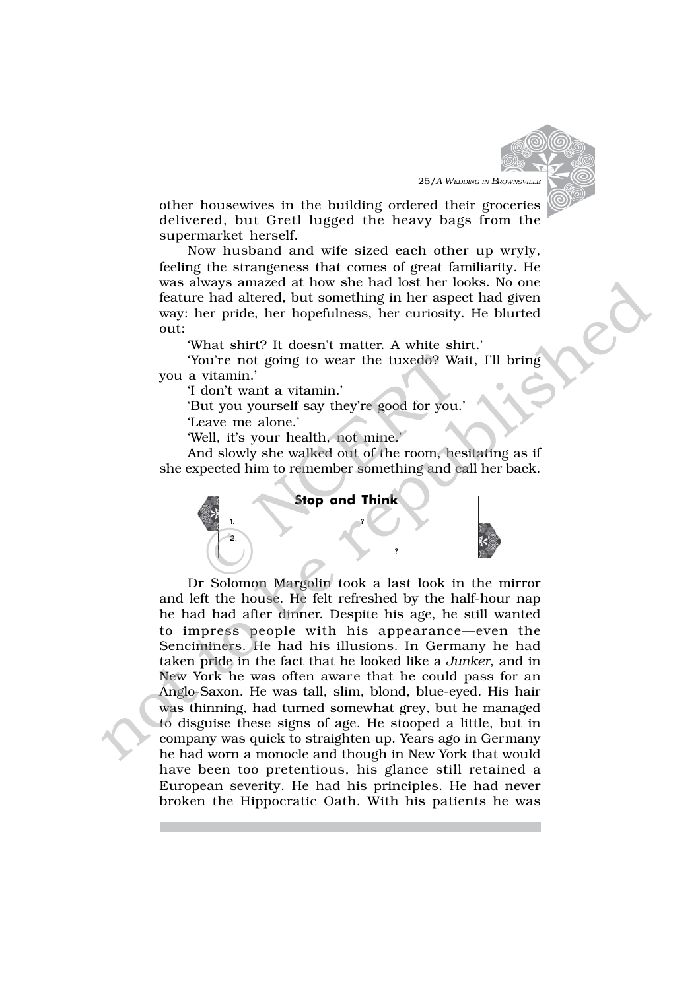other housewives in the building ordered their groceries delivered, but Gretl lugged the heavy bags from the supermarket herself.

Now husband and wife sized each other up wryly, feeling the strangeness that comes of great familiarity. He was always amazed at how she had lost her looks. No one feature had altered, but something in her aspect had given way: her pride, her hopefulness, her curiosity. He blurted out:

'What shirt? It doesn't matter. A white shirt.'

'You're not going to wear the tuxedo? Wait, I'll bring you a vitamin.' Fou're not going to wear the tuxedo? Wa<br>
vitamin.'<br>
don't want a vitamin.'<br>
dut you yourself say they're good for you.<br>
eave me alone.'<br>
Well, it's your health, not mine.'<br>
md slowly she walked out of the room, he<br>
rpected

'I don't want a vitamin.'

'But you yourself say they're good for you.'

'Leave me alone.'

'Well, it's your health, not mine.'

1. ?

 $\begin{array}{ccc} \begin{array}{ccc} \end{array} & \begin{array}{ccc} \end{array} & \begin{array}{ccc} \end{array} & \begin{array}{ccc} \end{array} & \begin{array}{ccc} \end{array} & \begin{array}{ccc} \end{array} & \begin{array}{ccc} \end{array} & \begin{array}{ccc} \end{array} & \begin{array}{ccc} \end{array} & \begin{array}{ccc} \end{array} & \begin{array}{ccc} \end{array} & \begin{array}{ccc} \end{array} & \begin{array}{ccc} \end{array} & \begin{array}{ccc} \end{array} & \begin{array}{ccc} \end{array} & \begin{array}{ccc} \end{array} & \begin{array}{$ 

And slowly she walked out of the room, hesitating as if she expected him to remember something and call her back.

#### **Stop and Think**

2. (a) and the contract of the contract of the contract of the contract of the contract of the contract of the

Dr Solomon Margolin took a last look in the mirror and left the house. He felt refreshed by the half-hour nap he had had after dinner. Despite his age, he still wanted to impress people with his appearance—even the Senciminers. He had his illusions. In Germany he had taken pride in the fact that he looked like a *Junker*, and in New York he was often aware that he could pass for an Anglo-Saxon. He was tall, slim, blond, blue-eyed. His hair was thinning, had turned somewhat grey, but he managed to disguise these signs of age. He stooped a little, but in company was quick to straighten up. Years ago in Germany he had worn a monocle and though in New York that would have been too pretentious, his glance still retained a European severity. He had his principles. He had never broken the Hippocratic Oath. With his patients he was was always amazed at how she had lost her looks. No one<br>feature had altered, but something in her aspect had given<br>way: her pride, her hopefulness, her curiosity. He blurted<br>out:<br> $\frac{1}{2}$  Wart end giong to wear the tuxed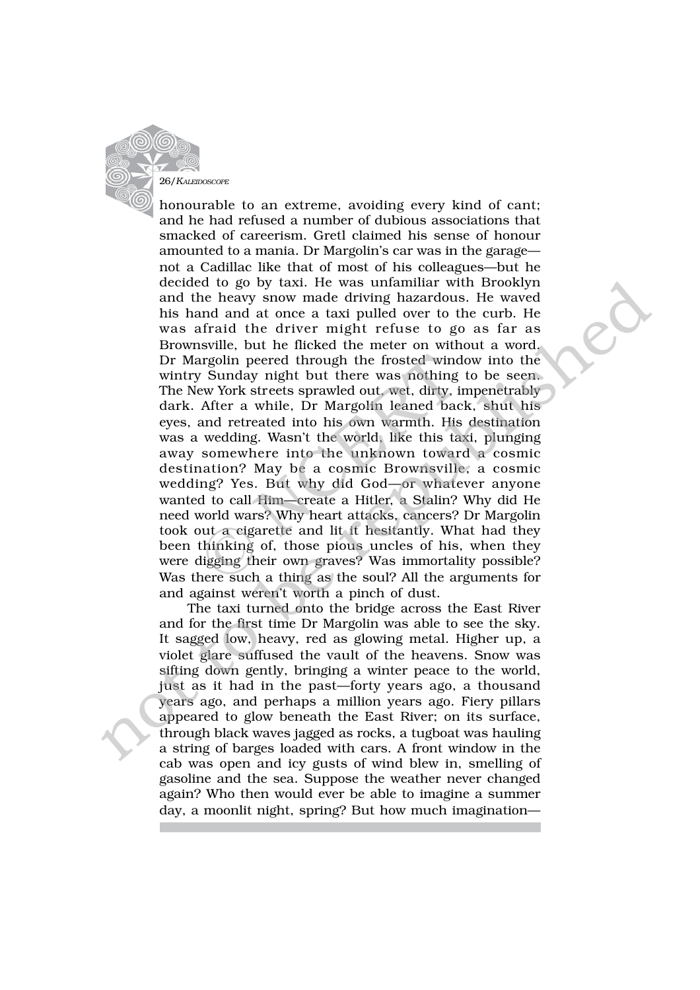

honourable to an extreme, avoiding every kind of cant; and he had refused a number of dubious associations that smacked of careerism. Gretl claimed his sense of honour amounted to a mania. Dr Margolin's car was in the garage not a Cadillac like that of most of his colleagues—but he decided to go by taxi. He was unfamiliar with Brooklyn and the heavy snow made driving hazardous. He waved his hand and at once a taxi pulled over to the curb. He was afraid the driver might refuse to go as far as Brownsville, but he flicked the meter on without a word. Dr Margolin peered through the frosted window into the wintry Sunday night but there was nothing to be seen. The New York streets sprawled out, wet, dirty, impenetrably dark. After a while, Dr Margolin leaned back, shut his eyes, and retreated into his own warmth. His destination was a wedding. Wasn't the world, like this taxi, plunging away somewhere into the unknown toward a cosmic destination? May be a cosmic Brownsville, a cosmic wedding? Yes. But why did God—or whatever anyone wanted to call Him—create a Hitler, a Stalin? Why did He need world wars? Why heart attacks, cancers? Dr Margolin took out a cigarette and lit it hesitantly. What had they been thinking of, those pious uncles of his, when they were digging their own graves? Was immortality possible? Was there such a thing as the soul? All the arguments for and against weren't worth a pinch of dust. argolin peered through the frosted winc<br>
y Sunday night but there was nothing<br>
ew York streets sprawled out, wet, dirty, i<br>
After a while, Dr Margolin leaned bac<br>
and retreated into his own warmth. His<br>
wedding. Wasn't the decided to go by taxt. He was unfamiliar with Brooklyn and the heavy snow made driving hazardous. He waved<br>his hand ad at once a taxt pulled over to the curb. He<br>was afraid the driver might refuse to go as far as<br>Brownswi

The taxi turned onto the bridge across the East River and for the first time Dr Margolin was able to see the sky. It sagged low, heavy, red as glowing metal. Higher up, a violet glare suffused the vault of the heavens. Snow was sifting down gently, bringing a winter peace to the world, just as it had in the past—forty years ago, a thousand years ago, and perhaps a million years ago. Fiery pillars appeared to glow beneath the East River; on its surface, through black waves jagged as rocks, a tugboat was hauling a string of barges loaded with cars. A front window in the cab was open and icy gusts of wind blew in, smelling of gasoline and the sea. Suppose the weather never changed again? Who then would ever be able to imagine a summer day, a moonlit night, spring? But how much imagination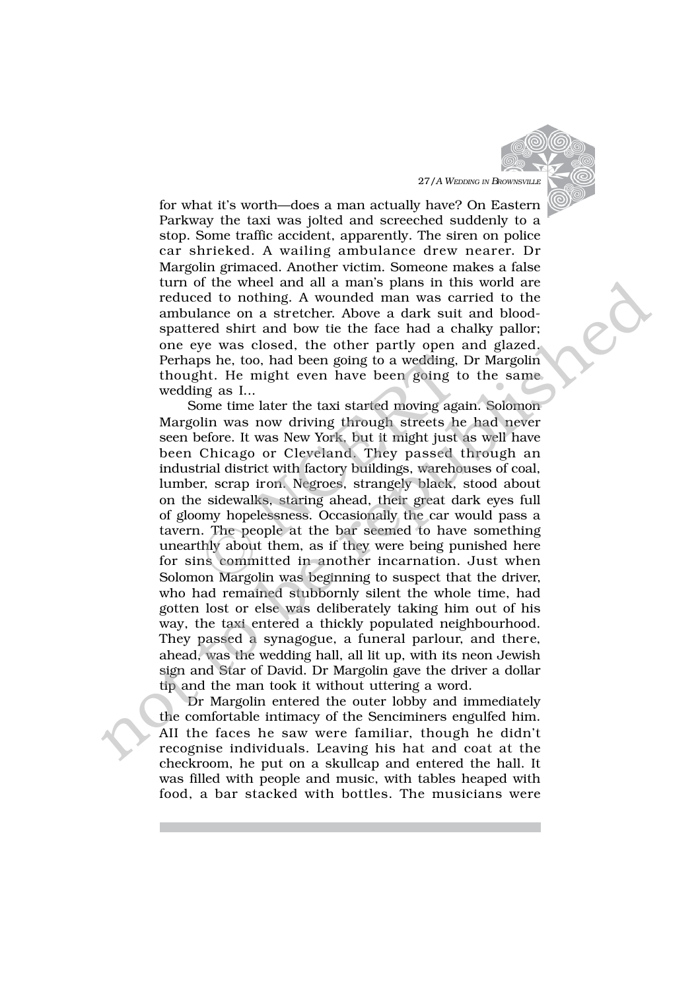for what it's worth—does a man actually have? On Eastern Parkway the taxi was jolted and screeched suddenly to a stop. Some traffic accident, apparently. The siren on police car shrieked. A wailing ambulance drew nearer. Dr Margolin grimaced. Another victim. Someone makes a false turn of the wheel and all a man's plans in this world are reduced to nothing. A wounded man was carried to the ambulance on a stretcher. Above a dark suit and bloodspattered shirt and bow tie the face had a chalky pallor; one eye was closed, the other partly open and glazed. Perhaps he, too, had been going to a wedding, Dr Margolin thought. He might even have been going to the same wedding as I...

Some time later the taxi started moving again. Solomon Margolin was now driving through streets he had never seen before. It was New York, but it might just as well have been Chicago or Cleveland. They passed through an industrial district with factory buildings, warehouses of coal, lumber, scrap iron. Negroes, strangely black, stood about on the sidewalks, staring ahead, their great dark eyes full of gloomy hopelessness. Occasionally the car would pass a tavern. The people at the bar seemed to have something unearthly about them, as if they were being punished here for sins committed in another incarnation. Just when Solomon Margolin was beginning to suspect that the driver, who had remained stubbornly silent the whole time, had gotten lost or else was deliberately taking him out of his way, the taxi entered a thickly populated neighbourhood. They passed a synagogue, a funeral parlour, and there, ahead, was the wedding hall, all lit up, with its neon Jewish sign and Star of David. Dr Margolin gave the driver a dollar tip and the man took it without uttering a word. ps he, too, had been going to a wedding,<br>ps he, too, had been going to a wedding,<br>ht. He might even have been going t<br>ng as I...<br>ome time later the taxi started moving aga<br>blin was now driving through streets h<br>pefore. It turn of the wheel and all an man's plans in this word are<br>reduced to nothing. A wounded man was carried to the<br>ambulance on a stretcher. Above a dark suit and blood-<br>spattered shirt and bow tie the face had a chalky palor

Dr Margolin entered the outer lobby and immediately the comfortable intimacy of the Senciminers engulfed him. AII the faces he saw were familiar, though he didn't recognise individuals. Leaving his hat and coat at the checkroom, he put on a skullcap and entered the hall. It was filled with people and music, with tables heaped with food, a bar stacked with bottles. The musicians were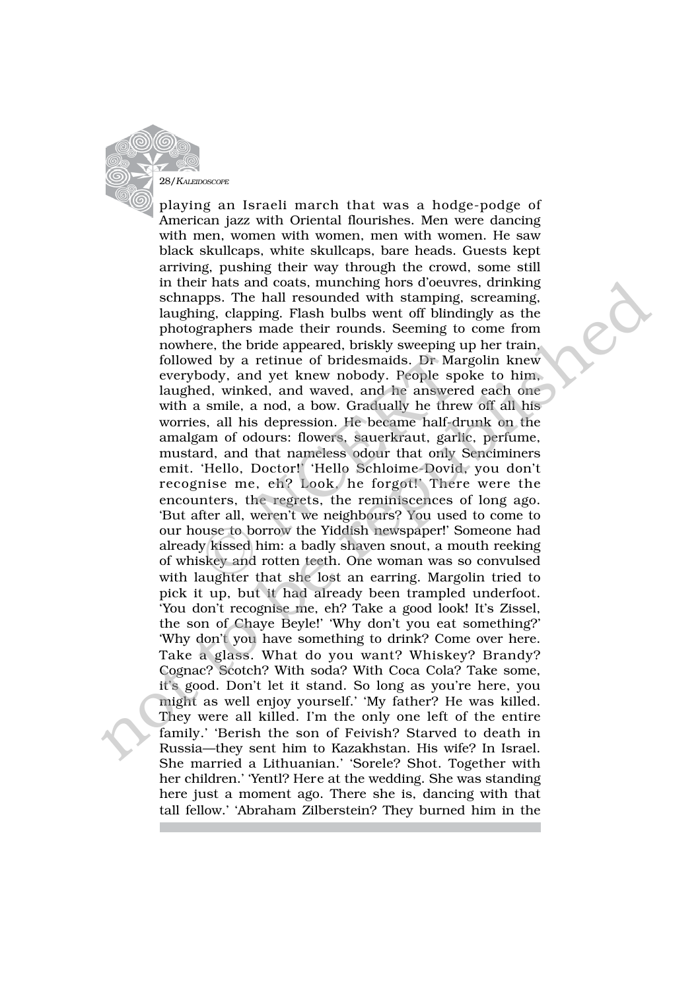

playing an Israeli march that was a hodge-podge of

American jazz with Oriental flourishes. Men were dancing with men, women with women, men with women. He saw black skullcaps, white skullcaps, bare heads. Guests kept arriving, pushing their way through the crowd, some still in their hats and coats, munching hors d'oeuvres, drinking schnapps. The hall resounded with stamping, screaming, laughing, clapping. Flash bulbs went off blindingly as the photographers made their rounds. Seeming to come from nowhere, the bride appeared, briskly sweeping up her train, followed by a retinue of bridesmaids. Dr Margolin knew everybody, and yet knew nobody. People spoke to him, laughed, winked, and waved, and he answered each one with a smile, a nod, a bow. Gradually he threw off all his worries, all his depression. He became half-drunk on the amalgam of odours: flowers, sauerkraut, garlic, perfume, mustard, and that nameless odour that only Senciminers emit. 'Hello, Doctor!' 'Hello Schloime-Dovid, you don't recognise me, eh? Look, he forgot!' There were the encounters, the regrets, the reminiscences of long ago. 'But after all, weren't we neighbours? You used to come to our house to borrow the Yiddish newspaper!' Someone had already kissed him: a badly shaven snout, a mouth reeking of whiskey and rotten teeth. One woman was so convulsed with laughter that she lost an earring. Margolin tried to pick it up, but it had already been trampled underfoot. 'You don't recognise me, eh? Take a good look! It's Zissel, the son of Chaye Beyle!' 'Why don't you eat something?' 'Why don't you have something to drink? Come over here. Take a glass. What do you want? Whiskey? Brandy? Cognac? Scotch? With soda? With Coca Cola? Take some, it's good. Don't let it stand. So long as you're here, you might as well enjoy yourself.' 'My father? He was killed. They were all killed. I'm the only one left of the entire family.' 'Berish the son of Feivish? Starved to death in Russia—they sent him to Kazakhstan. His wife? In Israel. She married a Lithuanian.' 'Sorele? Shot. Together with her children.' 'Yentl? Here at the wedding. She was standing here just a moment ago. There she is, dancing with that tall fellow.' 'Abraham Zilberstein? They burned him in the ed by a retinue of bridesmaids. Dr Ma<br>pody, and yet knew nobody. People sp<br>ed, winked, and waved, and he answer<br>a smile, a nod, a bow. Gradually he thre<br>ss, all his depression. He became half-d<br>am of odours: flowers, sauer in their hals and coals, munching horse denotes, drinking pointing scheming scheming schaping, expanding chaping. Flash bulls went of blindingly as the photographers made their to under a photographer moveler. The bulls we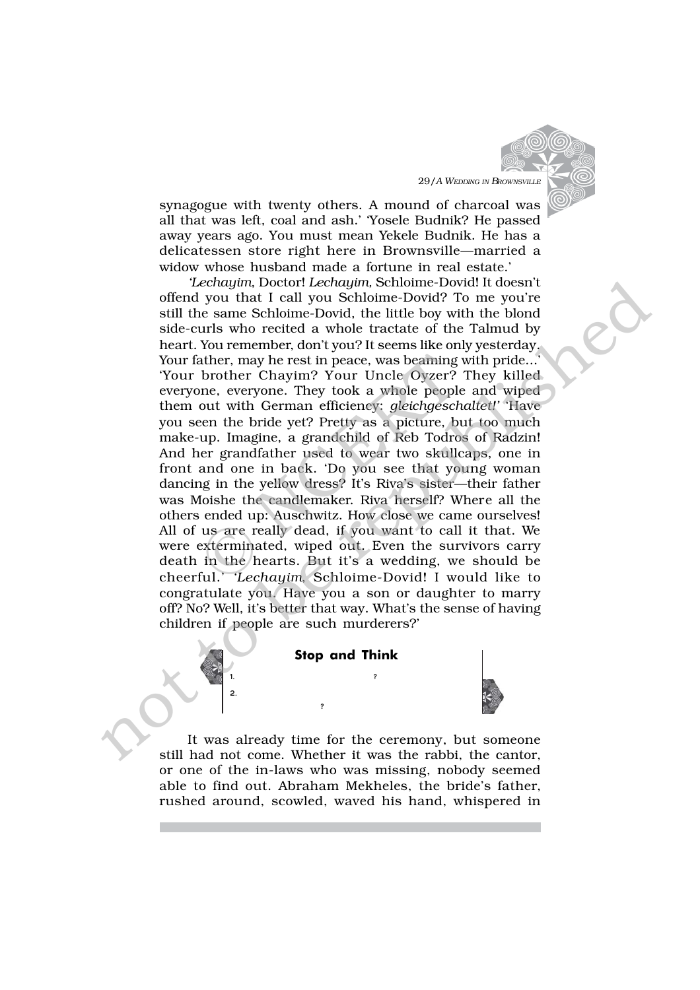synagogue with twenty others. A mound of charcoal was all that was left, coal and ash.' 'Yosele Budnik? He passed away years ago. You must mean Yekele Budnik. He has a delicatessen store right here in Brownsville—married a widow whose husband made a fortune in real estate.'

*'Lechayim*, Doctor! *Lechayim,* Schloime-Dovid! It doesn't offend you that I call you Schloime-Dovid? To me you're still the same Schloime-Dovid, the little boy with the blond side-curls who recited a whole tractate of the Talmud by heart. You remember, don't you? It seems like only yesterday. Your father, may he rest in peace, was beaming with pride...' 'Your brother Chayim? Your Uncle Oyzer? They killed everyone, everyone. They took a whole people and wiped them out with German efficiency: *gleichgeschaltet!'* 'Have you seen the bride yet? Pretty as a picture, but too much make-up. Imagine, a grandchild of Reb Todros of Radzin! And her grandfather used to wear two skullcaps, one in front and one in back. 'Do you see that young woman dancing in the yellow dress? It's Riva's sister—their father was Moishe the candlemaker. Riva herself? Where all the others ended up: Auschwitz. How close we came ourselves! All of us are really dead, if you want to call it that. We were exterminated, wiped out. Even the survivors carry death in the hearts. But it's a wedding, we should be cheerful.' *'Lechayim*, Schloime-Dovid! I would like to congratulate you. Have you a son or daughter to marry off? No? Well, it's better that way. What's the sense of having children if people are such murderers?' ather, may he rest in peace, was beaming<br>brother Chayim? Your Uncle Oyzer?<br>one, everyone. They took a whole peoplo<br>out with German efficiency: *gleichgesch*<br>een the bride yet? Pretty as a picture, b<br>up. Imagine, a grandchi Technain Doctri Lechanim, Schloime-Dovid II doses<br>offend you that 1 call you Schloime-Dovid? To me you're<br>still the same Schloime-Dovid To me you're<br>still the same Schloime-Dovid He little boy with the blond<br>side-curs who

### **Stop and Think**

2.

1.  $\sim$  2

?



It was already time for the ceremony, but someone still had not come. Whether it was the rabbi, the cantor, or one of the in-laws who was missing, nobody seemed able to find out. Abraham Mekheles, the bride's father, rushed around, scowled, waved his hand, whispered in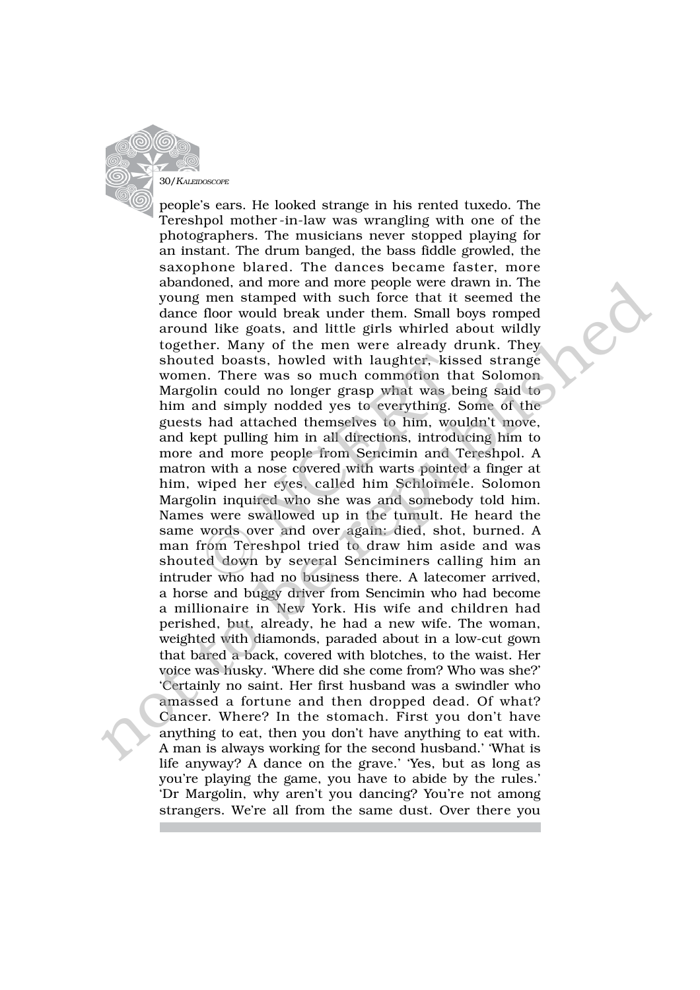

people's ears. He looked strange in his rented tuxedo. The Tereshpol mother -in-law was wrangling with one of the photographers. The musicians never stopped playing for an instant. The drum banged, the bass fiddle growled, the saxophone blared. The dances became faster, more abandoned, and more and more people were drawn in. The young men stamped with such force that it seemed the dance floor would break under them. Small boys romped around like goats, and little girls whirled about wildly together. Many of the men were already drunk. They shouted boasts, howled with laughter, kissed strange women. There was so much commotion that Solomon Margolin could no longer grasp what was being said to him and simply nodded yes to everything. Some of the guests had attached themselves to him, wouldn't move, and kept pulling him in all directions, introducing him to more and more people from Sencimin and Tereshpol. A matron with a nose covered with warts pointed a finger at him, wiped her eyes, called him Schloimele. Solomon Margolin inquired who she was and somebody told him. Names were swallowed up in the tumult. He heard the same words over and over again: died, shot, burned. A man from Tereshpol tried to draw him aside and was shouted down by several Senciminers calling him an intruder who had no business there. A latecomer arrived, a horse and buggy driver from Sencimin who had become a millionaire in New York. His wife and children had perished, but, already, he had a new wife. The woman, weighted with diamonds, paraded about in a low-cut gown that bared a back, covered with blotches, to the waist. Her voice was husky. 'Where did she come from? Who was she?' 'Certainly no saint. Her first husband was a swindler who amassed a fortune and then dropped dead. Of what? Cancer. Where? In the stomach. First you don't have anything to eat, then you don't have anything to eat with. A man is always working for the second husband.' 'What is life anyway? A dance on the grave.' 'Yes, but as long as you're playing the game, you have to abide by the rules.' 'Dr Margolin, why aren't you dancing? You're not among strangers. We're all from the same dust. Over there you ed boasts, howled with laughter, kiss<br>n. There was so much commotion th<br>blin could no longer grasp what was bo<br>nd simply nodded yes to everything. S<br>s had attached themselves to him, wou<br>ept pulling him in all directions, abandomed, and more and more peak were drawn in. The source of the conce power and the dance foor would break under them. Small boys romped around like goots, and little girls whirled about wildly together. Many of the me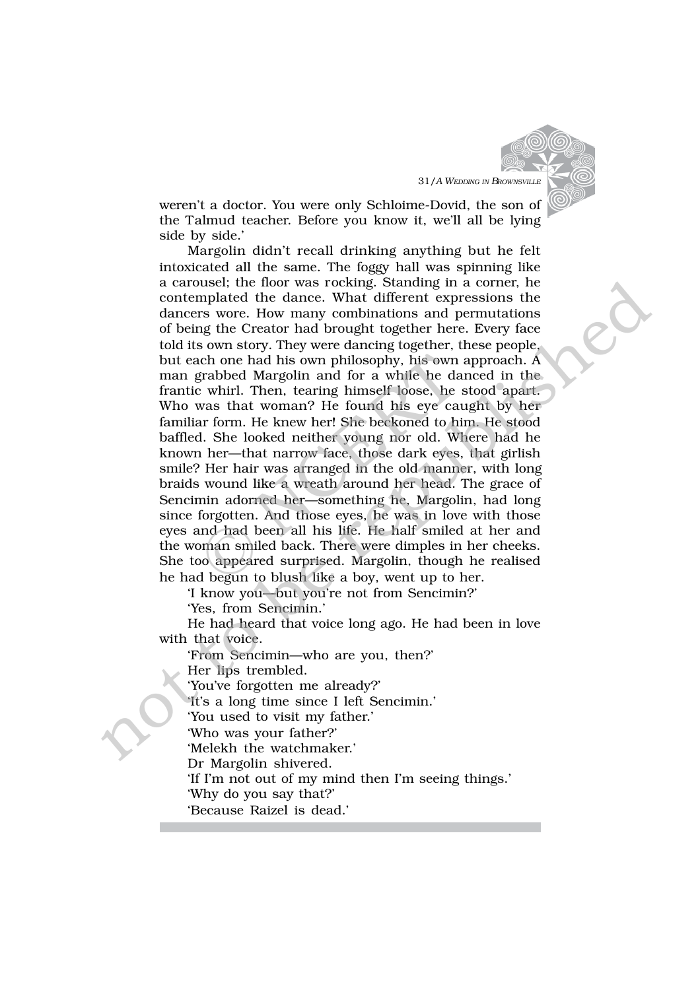weren't a doctor. You were only Schloime-Dovid, the son of the Talmud teacher. Before you know it, we'll all be lying side by side.'

Margolin didn't recall drinking anything but he felt intoxicated all the same. The foggy hall was spinning like a carousel; the floor was rocking. Standing in a corner, he contemplated the dance. What different expressions the dancers wore. How many combinations and permutations of being the Creator had brought together here. Every face told its own story. They were dancing together, these people, but each one had his own philosophy, his own approach. A man grabbed Margolin and for a while he danced in the frantic whirl. Then, tearing himself loose, he stood apart. Who was that woman? He found his eye caught by her familiar form. He knew her! She beckoned to him. He stood baffled. She looked neither young nor old. Where had he known her—that narrow face, those dark eyes, that girlish smile? Her hair was arranged in the old manner, with long braids wound like a wreath around her head. The grace of Sencimin adorned her—something he, Margolin, had long since forgotten. And those eyes, he was in love with those eyes and had been all his life. He half smiled at her and the woman smiled back. There were dimples in her cheeks. She too appeared surprised. Margolin, though he realised he had begun to blush like a boy, went up to her. nch one had his own philosophy, his own<br>grabbed Margolin and for a while he da<br>c whirl. Then, tearing himself loose, he<br>was that woman? He found his eye ca<br>ar form. He knew her! She beckoned to hi<br>d. She looked neither you a carousel; the floor was rocking, Standing in a correspondent of energy sect. How many combinations and permutations of being the Creator had by<br>complement of the caro term of the caro solution of the standing of the<br>sta

'I know you—but you're not from Sencimin?'

'Yes, from Sencimin.'

He had heard that voice long ago. He had been in love with that voice.

'From Sencimin—who are you, then?'

Her lips trembled.

'You've forgotten me already?'

'It's a long time since I left Sencimin.'

'You used to visit my father.'

'Who was your father?'

'Melekh the watchmaker.'

Dr Margolin shivered.

'If I'm not out of my mind then I'm seeing things.'

'Why do you say that?'

'Because Raizel is dead.'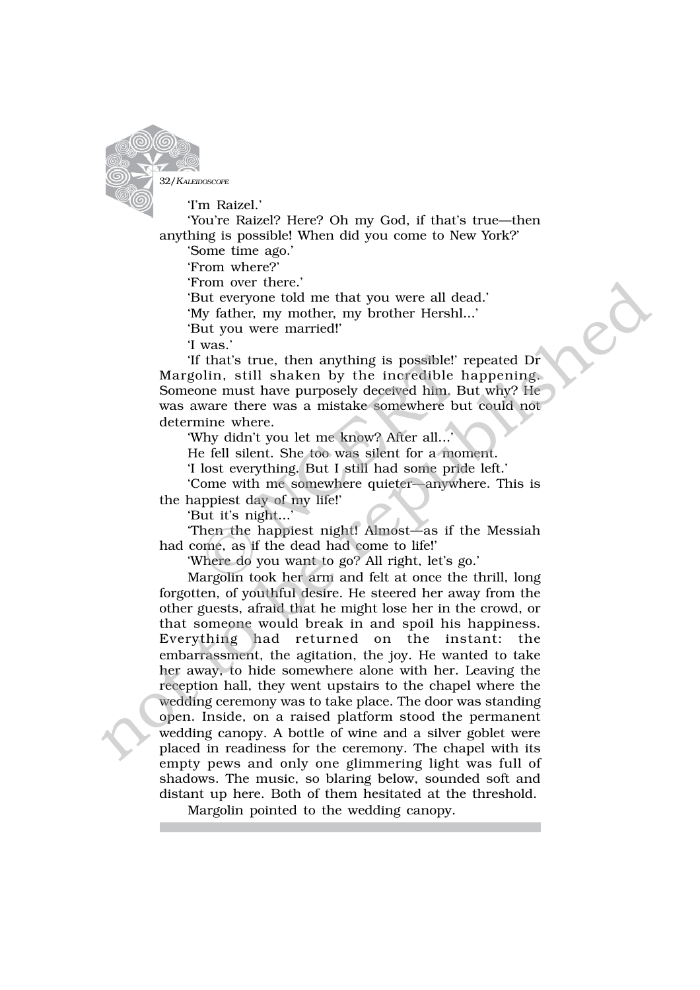

'I'm Raizel.'

'You're Raizel? Here? Oh my God, if that's true—then anything is possible! When did you come to New York?'

'Some time ago.'

'From where?'

'From over there.'

'But everyone told me that you were all dead.'

'My father, my mother, my brother Hershl...'

'But you were married!'

'I was.'

'If that's true, then anything is possible!' repeated Dr Margolin, still shaken by the incredible happening. Someone must have purposely deceived him. But why? He was aware there was a mistake somewhere but could not determine where. f that's true, then anything is possible!'<br>
blin, still shaken by the incredible<br>
blin, still shaken by the incredible<br>
bline must have purposely deceived him. If<br>
ware there was a mistake somewhere bline<br>
mine where.<br>
Why

'Why didn't you let me know? After all...

He fell silent. She too was silent for a moment.

'I lost everything. But I still had some pride left.'

'Come with me somewhere quieter—anywhere. This is the happiest day of my life!'

'But it's night...'

'Then the happiest night! Almost—as if the Messiah had come, as if the dead had come to life!'

'Where do you want to go? All right, let's go.'

Margolin took her arm and felt at once the thrill, long forgotten, of youthful desire. He steered her away from the other guests, afraid that he might lose her in the crowd, or that someone would break in and spoil his happiness. Everything had returned on the instant: the embarrassment, the agitation, the joy. He wanted to take her away, to hide somewhere alone with her. Leaving the reception hall, they went upstairs to the chapel where the wedding ceremony was to take place. The door was standing open. Inside, on a raised platform stood the permanent wedding canopy. A bottle of wine and a silver goblet were placed in readiness for the ceremony. The chapel with its empty pews and only one glimmering light was full of shadows. The music, so blaring below, sounded soft and distant up here. Both of them hesitated at the threshold. From over three.'<br>
The veryone told me that you were all dead.'<br>
"But everyone told me that you were all dead.'<br>
"But in that's true, then anything is possible!' repeated Dr<br>
That's true, then anything is possible!' repea

Margolin pointed to the wedding canopy.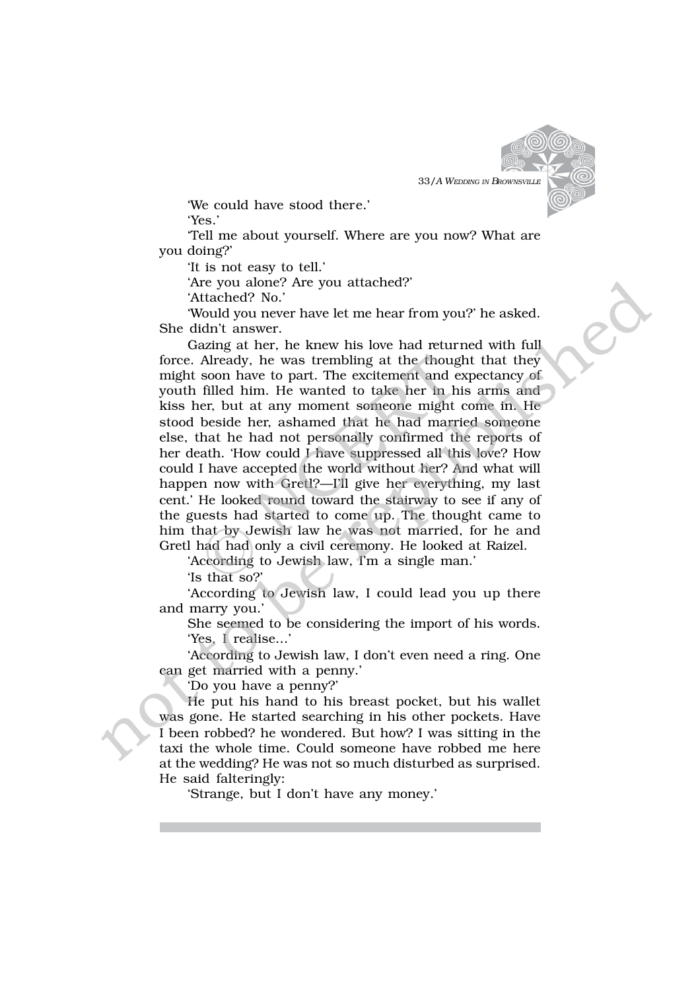

'We could have stood there.' 'Yes.'

'Tell me about yourself. Where are you now? What are you doing?'

'It is not easy to tell.'

'Are you alone? Are you attached?'

'Attached? No.'

'Would you never have let me hear from you?' he asked. She didn't answer.

Gazing at her, he knew his love had returned with full force. Already, he was trembling at the thought that they might soon have to part. The excitement and expectancy of youth filled him. He wanted to take her in his arms and kiss her, but at any moment someone might come in. He stood beside her, ashamed that he had married someone else, that he had not personally confirmed the reports of her death. 'How could I have suppressed all this love? How could I have accepted the world without her? And what will happen now with Gretl?—I'll give her everything, my last cent.' He looked round toward the stairway to see if any of the guests had started to come up. The thought came to him that by Jewish law he was not married, for he and Gretl had had only a civil ceremony. He looked at Raizel. Already, he was trembling at the thoug<br>soon have to part. The excitement and e<br>filled him. He wanted to take her in h<br>her, but at any moment someone might<br>beside her, ashamed that he had marri<br>hat he had not personally con Are you attached?<br>
Artached? No.<br>
The you alone? Are you attached?<br>
Would you never have let me hear from you? he asked.<br>
She didn't answer. In each wis love had returned with full<br>
force. Alreayl, he was trembling at the

'According to Jewish law, I'm a single man.'

'Is that so?'

'According to Jewish law, I could lead you up there and marry you.'

She seemed to be considering the import of his words. 'Yes, I realise...'

'According to Jewish law, I don't even need a ring. One can get married with a penny.'

'Do you have a penny?'

He put his hand to his breast pocket, but his wallet was gone. He started searching in his other pockets. Have I been robbed? he wondered. But how? I was sitting in the taxi the whole time. Could someone have robbed me here at the wedding? He was not so much disturbed as surprised. He said falteringly:

'Strange, but I don't have any money.'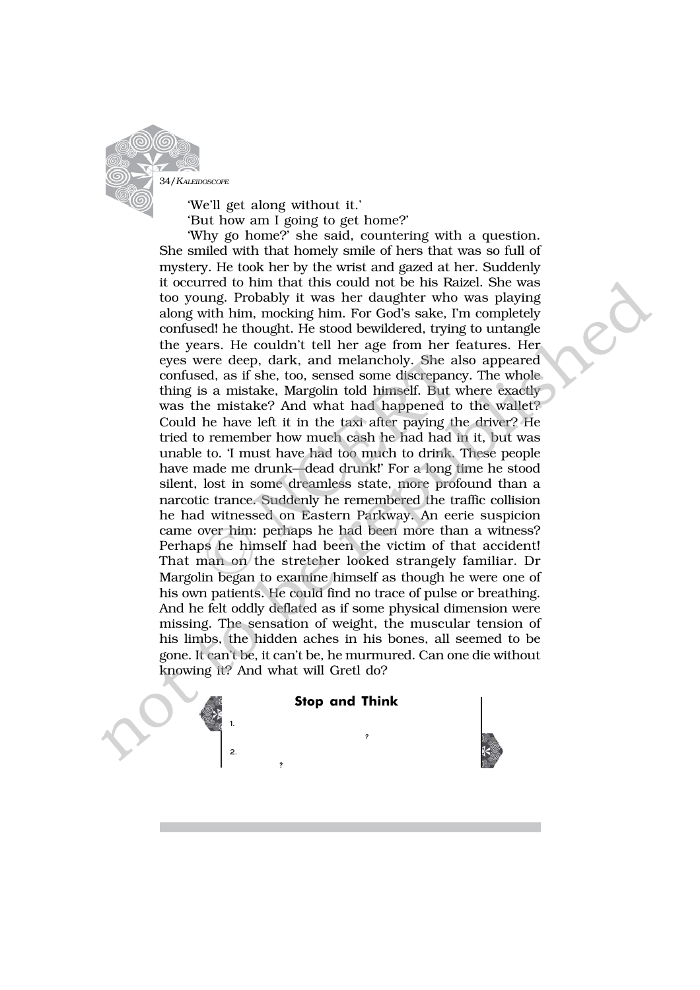

'We'll get along without it.'

'But how am I going to get home?'

'Why go home?' she said, countering with a question. She smiled with that homely smile of hers that was so full of mystery. He took her by the wrist and gazed at her. Suddenly it occurred to him that this could not be his Raizel. She was too young. Probably it was her daughter who was playing along with him, mocking him. For God's sake, I'm completely confused! he thought. He stood bewildered, trying to untangle the years. He couldn't tell her age from her features. Her eyes were deep, dark, and melancholy. She also appeared confused, as if she, too, sensed some discrepancy. The whole thing is a mistake, Margolin told himself. But where exactly was the mistake? And what had happened to the wallet? Could he have left it in the taxi after paying the driver? He tried to remember how much cash he had had in it, but was unable to. 'I must have had too much to drink. These people have made me drunk—dead drunk!' For a long time he stood silent, lost in some dreamless state, more profound than a narcotic trance. Suddenly he remembered the traffic collision he had witnessed on Eastern Parkway. An eerie suspicion came over him: perhaps he had been more than a witness? Perhaps he himself had been the victim of that accident! That man on the stretcher looked strangely familiar. Dr Margolin began to examine himself as though he were one of his own patients. He could find no trace of pulse or breathing. And he felt oddly deflated as if some physical dimension were missing. The sensation of weight, the muscular tension of his limbs, the hidden aches in his bones, all seemed to be gone. It can't be, it can't be, he murmured. Can one die without knowing it? And what will Gretl do? were deep, dark, and melancholy. She alsed, as if she, too, sensed some discrepanc<br>is a mistake, Margolin told himself. But v<br>he mistake? And what had happened to<br>he have left it in the taxi after paying th<br>o remember how it occurred to him that this could not be his Raizel. She was the correct of better to by sumple along with him, mocking him. For God's sale, I'm completely contined the thought. He stood be<br>relided the phase better proce

#### **Stop and Think**

response to the contract of the contract of the contract of the contract of the contract of the contract of th<br>The contract of the contract of the contract of the contract of the contract of the contract of the contract o

?

1.

2.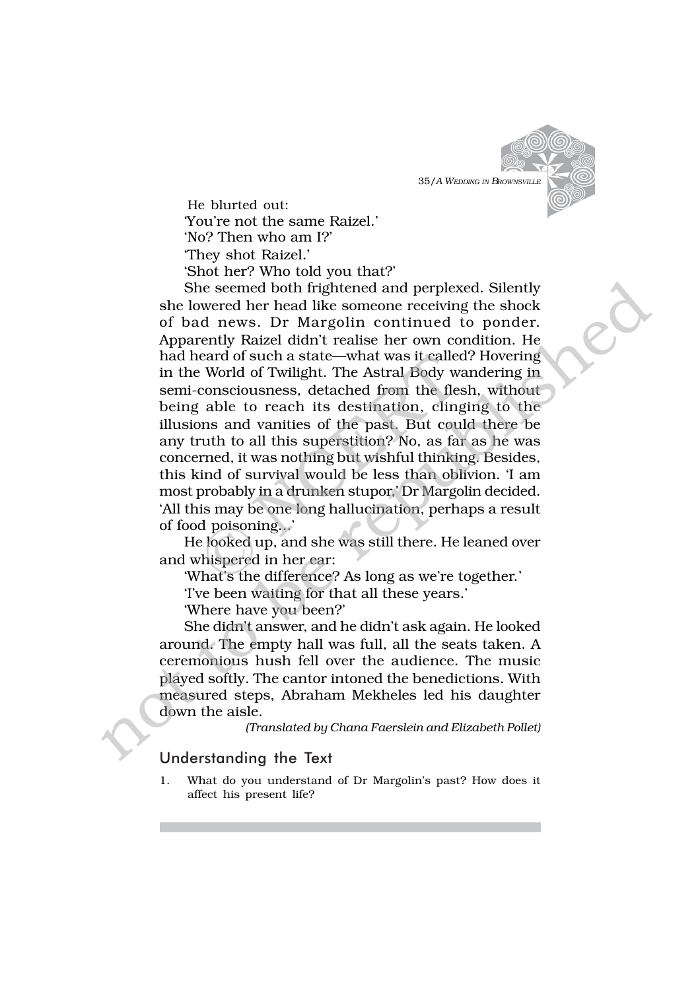

He blurted out: 'You're not the same Raizel.' 'No? Then who am I?'

'They shot Raizel.'

'Shot her? Who told you that?'

She seemed both frightened and perplexed. Silently she lowered her head like someone receiving the shock of bad news. Dr Margolin continued to ponder. Apparently Raizel didn't realise her own condition. He had heard of such a state—what was it called? Hovering in the World of Twilight. The Astral Body wandering in semi-consciousness, detached from the flesh, without being able to reach its destination, clinging to the illusions and vanities of the past. But could there be any truth to all this superstition? No, as far as he was concerned, it was nothing but wishful thinking. Besides, this kind of survival would be less than oblivion. 'I am most probably in a drunken stupor,' Dr Margolin decided. 'All this may be one long hallucination, perhaps a result of food poisoning...' eard of such a state—what was it callee<br>
E World of Twilight. The Astral Body w<br>
consciousness, detached from the fle<br>
i able to reach its destination, cling<br>
ons and vanities of the past. But couruth to all this superstit She seemed both frightened and perplexed. Silently<br>she lowered her head like someon receiving the shock<br>of bad news. Dr Margolin continued to ponder.<br>Apparently Raizel didn't realise her own condition. He<br>had heard of suc

He looked up, and she was still there. He leaned over and whispered in her ear:

'What's the difference? As long as we're together.'

'I've been waiting for that all these years.'

'Where have you been?'

She didn't answer, and he didn't ask again. He looked around. The empty hall was full, all the seats taken. A ceremonious hush fell over the audience. The music played softly. The cantor intoned the benedictions. With measured steps, Abraham Mekheles led his daughter down the aisle.

*(Translated by Chana Faerslein and Elizabeth Pollet)*

### Understanding the Text

1. What do you understand of Dr Margolin's past? How does it affect his present life?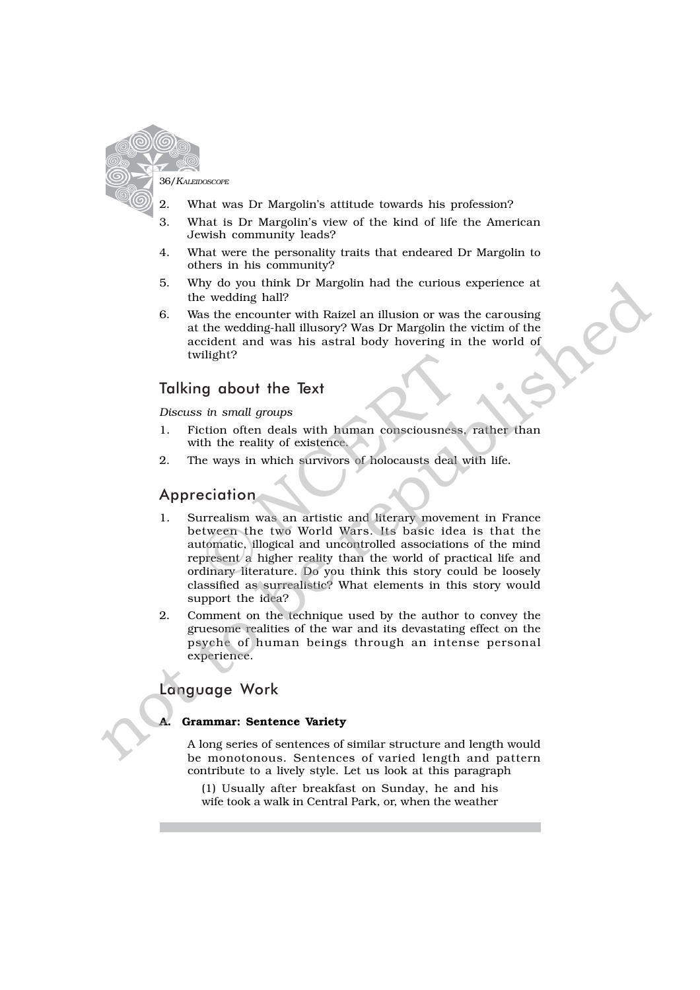

- 2. What was Dr Margolin's attitude towards his profession?
- 3. What is Dr Margolin's view of the kind of life the American Jewish community leads?
- 4. What were the personality traits that endeared Dr Margolin to others in his community?
- 5. Why do you think Dr Margolin had the curious experience at the wedding hall?
- 6. Was the encounter with Raizel an illusion or was the carousing at the wedding-hall illusory? Was Dr Margolin the victim of the accident and was his astral body hovering in the world of twilight?

### Talking about the Text

*Discuss in small groups*

- 1. Fiction often deals with human consciousness, rather than with the reality of existence.
- 2. The ways in which survivors of holocausts deal with life.

### Appreciation

- 1. Surrealism was an artistic and literary movement in France between the two World Wars. Its basic idea is that the automatic, illogical and uncontrolled associations of the mind represent a higher reality than the world of practical life and ordinary literature. Do you think this story could be loosely classified as surrealistic? What elements in this story would support the idea? vilight?<br>
Solid in the Text<br>
Solid in the Text<br>
Solid in the reality of existence.<br>
The reality of existence.<br>
The reality of existence.<br>
The ways in which survivors of holocausts deal<br>
ecitation<br>
tecrearity was an artisti 5. Why do you think Dr Margolin had the curious experience at<br>the wedding hall?<br>
6. We the encounter with Ratzel and illuston or was the accustoms<br>
at the wedding-hall illustory? Was Dr Margolin the victim of the<br>
acciden
	- 2. Comment on the technique used by the author to convey the gruesome realities of the war and its devastating effect on the psyche of human beings through an intense personal experience.

### Language Work

#### **A. Grammar: Sentence Variety**

A long series of sentences of similar structure and length would be monotonous. Sentences of varied length and pattern contribute to a lively style. Let us look at this paragraph

(1) Usually after breakfast on Sunday, he and his wife took a walk in Central Park, or, when the weather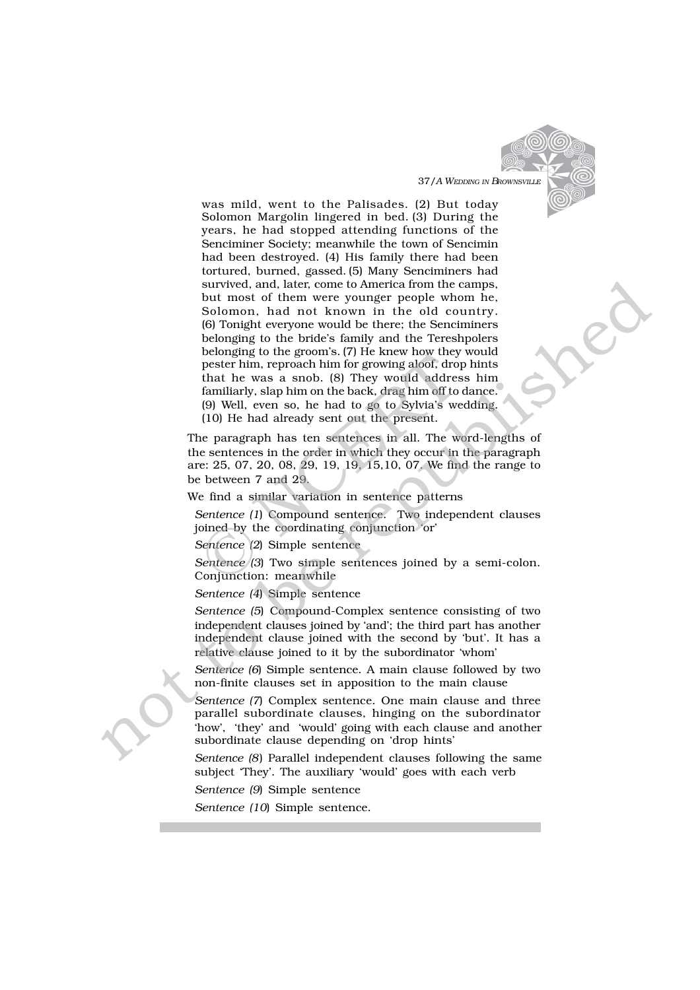

was mild, went to the Palisades. (2) But today Solomon Margolin lingered in bed. (3) During the years, he had stopped attending functions of the Senciminer Society; meanwhile the town of Sencimin had been destroyed. (4) His family there had been tortured, burned, gassed. (5) Many Senciminers had survived, and, later, come to America from the camps, but most of them were younger people whom he, Solomon, had not known in the old country. (6) Tonight everyone would be there; the Senciminers belonging to the bride's family and the Tereshpolers belonging to the groom's. (7) He knew how they would pester him, reproach him for growing aloof, drop hints that he was a snob. (8) They would address him familiarly, slap him on the back, drag him off to dance. (9) Well, even so, he had to go to Sylvia's wedding. (10) He had already sent out the present. belonging to the groom s. (*i*) rie knew now they<br>pester him, reproach him for growing aloof, drop<br>that he was a snob. (8) They would addres<br>familiarly, slap him on the back, drag him off to<br>(9) Well, even so, he had to g survived, and, latter, come to America from the camps,<br>but most of them were younger people whom he,<br>Solomon, had not known in the old country.<br>(6) Tonight everyone would be there: the Senchminers<br>belonging to the proons'

The paragraph has ten sentences in all. The word-lengths of the sentences in the order in which they occur in the paragraph are: 25, 07, 20, 08, 29, 19, 19, 15,10, 07. We find the range to be between 7 and 29.

We find a similar variation in sentence patterns

*Sentence (1*) Compound sentence. Two independent clauses joined by the coordinating conjunction 'or'

*Sentence (2*) Simple sentence

*Sentence (3*) Two simple sentences joined by a semi-colon. Conjunction: meanwhile

*Sentence (4*) Simple sentence

*Sentence (5*) Compound-Complex sentence consisting of two independent clauses joined by 'and'; the third part has another independent clause joined with the second by 'but'. It has a relative clause joined to it by the subordinator 'whom'

*Sentence (6*) Simple sentence. A main clause followed by two non-finite clauses set in apposition to the main clause

*Sentence (7*) Complex sentence. One main clause and three parallel subordinate clauses, hinging on the subordinator 'how', 'they' and 'would' going with each clause and another subordinate clause depending on 'drop hints'

*Sentence (8*) Parallel independent clauses following the same subject 'They'. The auxiliary 'would' goes with each verb

*Sentence (9*) Simple sentence

*Sentence (10*) Simple sentence.